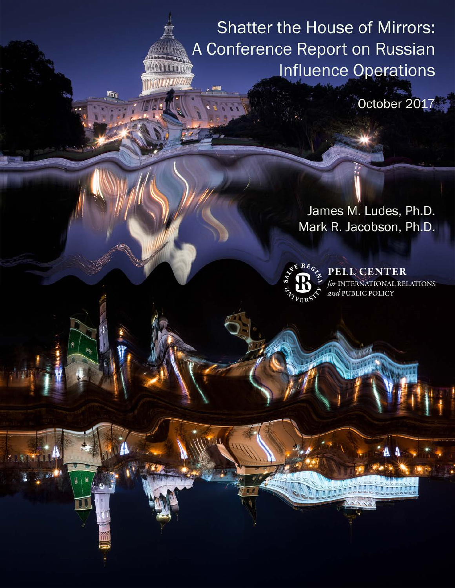**Shatter the House of Mirrors:** A Conference Report on Russian Influence Operations

October 2017

James M. Ludes, Ph.D. Mark R. Jacobson, Ph.D.



**PELL CENTER INTERNATIONAL RELATIONS** and PUBLIC POLICY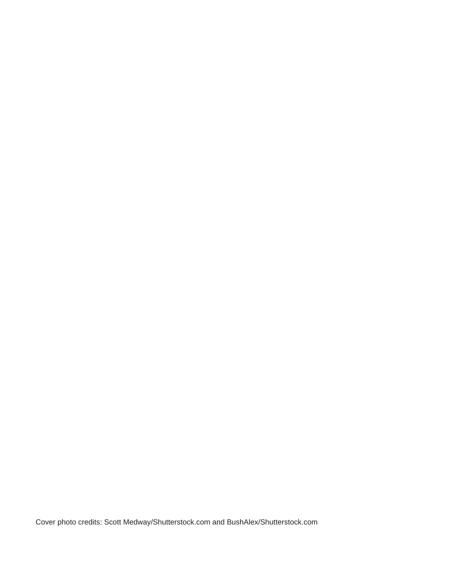Cover photo credits: Scott Medway/Shutterstock.com and BushAlex/Shutterstock.com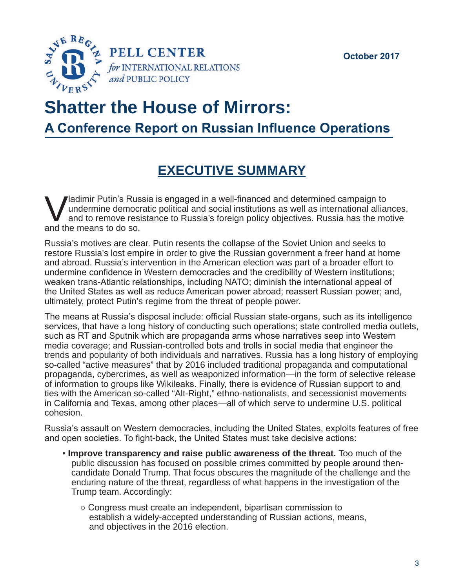

# **Shatter the House of Mirrors:**

**A Conference Report on Russian Influence Operations**

# **EXECUTIVE SUMMARY**

Vladimir Putin's Russia is engaged in a well-financed and determined campaign to<br>undermine democratic political and social institutions as well as international alliar<br>and the means to do so undermine democratic political and social institutions as well as international alliances, and to remove resistance to Russia's foreign policy objectives. Russia has the motive and the means to do so.

Russia's motives are clear. Putin resents the collapse of the Soviet Union and seeks to restore Russia's lost empire in order to give the Russian government a freer hand at home and abroad. Russia's intervention in the American election was part of a broader effort to undermine confidence in Western democracies and the credibility of Western institutions; weaken trans-Atlantic relationships, including NATO; diminish the international appeal of the United States as well as reduce American power abroad; reassert Russian power; and, ultimately, protect Putin's regime from the threat of people power.

The means at Russia's disposal include: official Russian state-organs, such as its intelligence services, that have a long history of conducting such operations; state controlled media outlets, such as RT and Sputnik which are propaganda arms whose narratives seep into Western media coverage; and Russian-controlled bots and trolls in social media that engineer the trends and popularity of both individuals and narratives. Russia has a long history of employing so-called "active measures" that by 2016 included traditional propaganda and computational propaganda, cybercrimes, as well as weaponized information—in the form of selective release of information to groups like Wikileaks. Finally, there is evidence of Russian support to and ties with the American so-called "Alt-Right," ethno-nationalists, and secessionist movements in California and Texas, among other places—all of which serve to undermine U.S. political cohesion.

Russia's assault on Western democracies, including the United States, exploits features of free and open societies. To fight-back, the United States must take decisive actions:

- **Improve transparency and raise public awareness of the threat.** Too much of the public discussion has focused on possible crimes committed by people around thencandidate Donald Trump. That focus obscures the magnitude of the challenge and the enduring nature of the threat, regardless of what happens in the investigation of the Trump team. Accordingly:
	- Congress must create an independent, bipartisan commission to establish a widely-accepted understanding of Russian actions, means, and objectives in the 2016 election.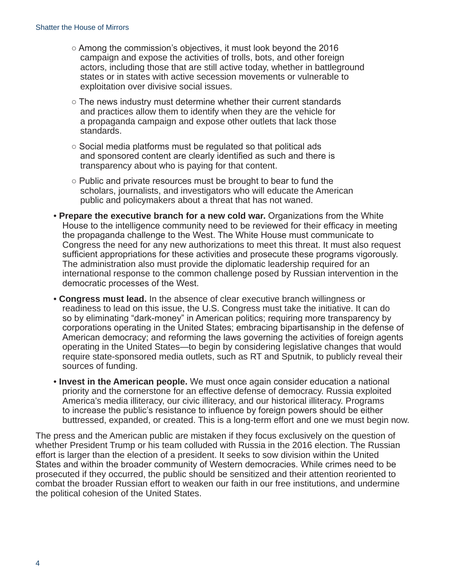- Among the commission's objectives, it must look beyond the 2016 campaign and expose the activities of trolls, bots, and other foreign actors, including those that are still active today, whether in battleground states or in states with active secession movements or vulnerable to exploitation over divisive social issues.
- The news industry must determine whether their current standards and practices allow them to identify when they are the vehicle for a propaganda campaign and expose other outlets that lack those standards.
- Social media platforms must be regulated so that political ads and sponsored content are clearly identified as such and there is transparency about who is paying for that content.
- Public and private resources must be brought to bear to fund the scholars, journalists, and investigators who will educate the American public and policymakers about a threat that has not waned.
- **Prepare the executive branch for a new cold war.** Organizations from the White House to the intelligence community need to be reviewed for their efficacy in meeting the propaganda challenge to the West. The White House must communicate to Congress the need for any new authorizations to meet this threat. It must also request sufficient appropriations for these activities and prosecute these programs vigorously. The administration also must provide the diplomatic leadership required for an international response to the common challenge posed by Russian intervention in the democratic processes of the West.
- **Congress must lead.** In the absence of clear executive branch willingness or readiness to lead on this issue, the U.S. Congress must take the initiative. It can do so by eliminating "dark-money" in American politics; requiring more transparency by corporations operating in the United States; embracing bipartisanship in the defense of American democracy; and reforming the laws governing the activities of foreign agents operating in the United States—to begin by considering legislative changes that would require state-sponsored media outlets, such as RT and Sputnik, to publicly reveal their sources of funding.
- **Invest in the American people.** We must once again consider education a national priority and the cornerstone for an effective defense of democracy. Russia exploited America's media illiteracy, our civic illiteracy, and our historical illiteracy. Programs to increase the public's resistance to influence by foreign powers should be either buttressed, expanded, or created. This is a long-term effort and one we must begin now.

The press and the American public are mistaken if they focus exclusively on the question of whether President Trump or his team colluded with Russia in the 2016 election. The Russian effort is larger than the election of a president. It seeks to sow division within the United States and within the broader community of Western democracies. While crimes need to be prosecuted if they occurred, the public should be sensitized and their attention reoriented to combat the broader Russian effort to weaken our faith in our free institutions, and undermine the political cohesion of the United States.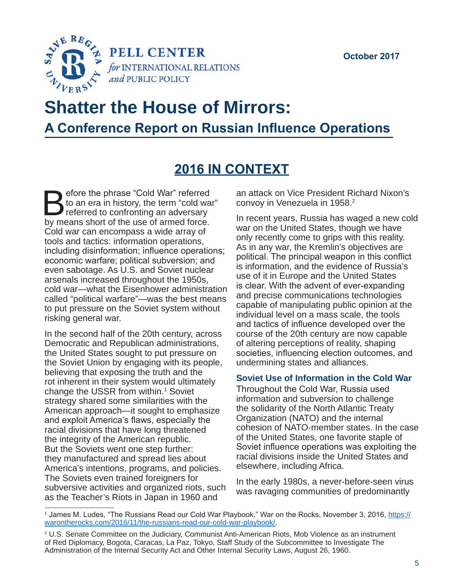

# **Shatter the House of Mirrors: A Conference Report on Russian Influence Operations**

# **2016 IN CONTEXT**

Sefore the phrase "Cold War" referred<br>to an era in history, the term "cold way<br>by means short of the use of armed force. to an era in history, the term "cold war" referred to confronting an adversary by means short of the use of armed force. Cold war can encompass a wide array of tools and tactics: information operations, including disinformation; influence operations; economic warfare; political subversion; and even sabotage. As U.S. and Soviet nuclear arsenals increased throughout the 1950s, cold war—what the Eisenhower administration called "political warfare"—was the best means to put pressure on the Soviet system without risking general war.

In the second half of the 20th century, across Democratic and Republican administrations, the United States sought to put pressure on the Soviet Union by engaging with its people, believing that exposing the truth and the rot inherent in their system would ultimately change the USSR from within.<sup>1</sup> Soviet strategy shared some similarities with the American approach—it sought to emphasize and exploit America's flaws, especially the racial divisions that have long threatened the integrity of the American republic. But the Soviets went one step further: they manufactured and spread lies about America's intentions, programs, and policies. The Soviets even trained foreigners for subversive activities and organized riots, such as the Teacher's Riots in Japan in 1960 and

an attack on Vice President Richard Nixon's convoy in Venezuela in 1958.<sup>2</sup>

In recent years, Russia has waged a new cold war on the United States, though we have only recently come to grips with this reality. As in any war, the Kremlin's objectives are political. The principal weapon in this conflict is information, and the evidence of Russia's use of it in Europe and the United States is clear. With the advent of ever-expanding and precise communications technologies capable of manipulating public opinion at the individual level on a mass scale, the tools and tactics of influence developed over the course of the 20th century are now capable of altering perceptions of reality, shaping societies, influencing election outcomes, and undermining states and alliances.

#### **Soviet Use of Information in the Cold War**

Throughout the Cold War, Russia used information and subversion to challenge the solidarity of the North Atlantic Treaty Organization (NATO) and the internal cohesion of NATO-member states. In the case of the United States, one favorite staple of Soviet influence operations was exploiting the racial divisions inside the United States and elsewhere, including Africa.

In the early 1980s, a never-before-seen virus was ravaging communities of predominantly

<sup>&</sup>lt;sup>1</sup> James M. Ludes, "The Russians Read our Cold War Playbook," War on the Rocks, November 3, 2016, <u>[https://](https://warontherocks.com/2016/11/the-russians-read-our-cold-war-playbook/)</u> [warontherocks.com/2016/11/the-russians-read-our-cold-war-playbook/.](https://warontherocks.com/2016/11/the-russians-read-our-cold-war-playbook/)

<sup>2</sup> U.S. Senate Committee on the Judiciary, Communist Anti-American Riots, Mob Violence as an instrument of Red Diplomacy, Bogota, Caracas, La Paz, Tokyo, Staff Study of the Subcommittee to Investigate The Administration of the Internal Security Act and Other Internal Security Laws, August 26, 1960.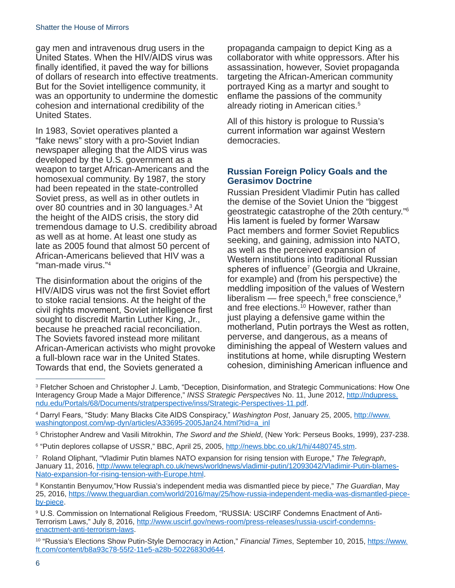gay men and intravenous drug users in the United States. When the HIV/AIDS virus was finally identified, it paved the way for billions of dollars of research into effective treatments. But for the Soviet intelligence community, it was an opportunity to undermine the domestic cohesion and international credibility of the United States.

In 1983, Soviet operatives planted a "fake news" story with a pro-Soviet Indian newspaper alleging that the AIDS virus was developed by the U.S. government as a weapon to target African-Americans and the homosexual community. By 1987, the story had been repeated in the state-controlled Soviet press, as well as in other outlets in over 80 countries and in 30 languages.<sup>3</sup> At the height of the AIDS crisis, the story did tremendous damage to U.S. credibility abroad as well as at home. At least one study as late as 2005 found that almost 50 percent of African-Americans believed that HIV was a "man-made virus."4

The disinformation about the origins of the HIV/AIDS virus was not the first Soviet effort to stoke racial tensions. At the height of the civil rights movement, Soviet intelligence first sought to discredit Martin Luther King, Jr., because he preached racial reconciliation. The Soviets favored instead more militant African-American activists who might provoke a full-blown race war in the United States. Towards that end, the Soviets generated a

propaganda campaign to depict King as a collaborator with white oppressors. After his assassination, however, Soviet propaganda targeting the African-American community portrayed King as a martyr and sought to enflame the passions of the community already rioting in American cities.5

All of this history is prologue to Russia's current information war against Western democracies.

#### **Russian Foreign Policy Goals and the Gerasimov Doctrine**

Russian President Vladimir Putin has called the demise of the Soviet Union the "biggest geostrategic catastrophe of the 20th century."6 His lament is fueled by former Warsaw Pact members and former Soviet Republics seeking, and gaining, admission into NATO, as well as the perceived expansion of Western institutions into traditional Russian spheres of influence<sup>7</sup> (Georgia and Ukraine, for example) and (from his perspective) the meddling imposition of the values of Western liberalism — free speech, $^{\rm 8}$  free conscience, $^{\rm 9}$ and free elections.10 However, rather than just playing a defensive game within the motherland, Putin portrays the West as rotten, perverse, and dangerous, as a means of diminishing the appeal of Western values and institutions at home, while disrupting Western cohesion, diminishing American influence and

<sup>3</sup> Fletcher Schoen and Christopher J. Lamb, "Deception, Disinformation, and Strategic Communications: How One Interagency Group Made a Major Difference," *INSS Strategic Perspectives* No. 11, June 2012, [http://ndupress.](http://ndupress.ndu.edu/Portals/68/Documents/stratperspective/inss/Strategic-Perspectives-11.pdf) [ndu.edu/Portals/68/Documents/stratperspective/inss/Strategic-Perspectives-11.pdf](http://ndupress.ndu.edu/Portals/68/Documents/stratperspective/inss/Strategic-Perspectives-11.pdf).

<sup>4</sup> Darryl Fears, "Study: Many Blacks Cite AIDS Conspiracy," *Washington Post*, January 25, 2005, [http://www.](http://www.washingtonpost.com/wp-dyn/articles/A33695-2005Jan24.html?tid=a_inl) [washingtonpost.com/wp-dyn/articles/A33695-2005Jan24.html?tid=a\\_inl](http://www.washingtonpost.com/wp-dyn/articles/A33695-2005Jan24.html?tid=a_inl)

<sup>5</sup> Christopher Andrew and Vasili Mitrokhin, *The Sword and the Shield*, (New York: Perseus Books, 1999), 237-238.

<sup>&</sup>lt;sup>6</sup> "Putin deplores collapse of USSR," BBC, April 25, 2005, <u>http://news.bbc.co.uk/1/hi/4480745.stm</u>.

<sup>7</sup> Roland Oliphant, "Vladimir Putin blames NATO expansion for rising tension with Europe," *The Telegraph*, January 11, 2016, [http://www.telegraph.co.uk/news/worldnews/vladimir-putin/12093042/Vladimir-Putin-blames-](http://www.telegraph.co.uk/news/worldnews/vladimir-putin/12093042/Vladimir-Putin-blames-Nato-expansion-for-rising-tension-with-Europe.html)[Nato-expansion-for-rising-tension-with-Europe.html](http://www.telegraph.co.uk/news/worldnews/vladimir-putin/12093042/Vladimir-Putin-blames-Nato-expansion-for-rising-tension-with-Europe.html).

<sup>8</sup> Konstantin Benyumov,"How Russia's independent media was dismantled piece by piece," *The Guardian*, May 25, 2016, [https://www.theguardian.com/world/2016/may/25/how-russia-independent-media-was-dismantled-piece](https://www.theguardian.com/world/2016/may/25/how-russia-independent-media-was-dismantled-piece-by-piece)[by-piece.](https://www.theguardian.com/world/2016/may/25/how-russia-independent-media-was-dismantled-piece-by-piece)

<sup>9</sup> U.S. Commission on International Religious Freedom, "RUSSIA: USCIRF Condemns Enactment of AntiTerrorism Laws," July 8, 2016, [http://www.uscirf.gov/news-room/press-releases/russia-uscirf-condemns](http://www.uscirf.gov/news-room/press-releases/russia-uscirf-condemns-enactment-anti-terrorism-laws)[enactment-anti-terrorism-laws](http://www.uscirf.gov/news-room/press-releases/russia-uscirf-condemns-enactment-anti-terrorism-laws).

<sup>10 &</sup>quot;Russia's Elections Show Putin-Style Democracy in Action," *Financial Times*, September 10, 2015, [https://www.](https://www.ft.com/content/b8a93c78-55f2-11e5-a28b-50226830d644) [ft.com/content/b8a93c78-55f2-11e5-a28b-50226830d644.](https://www.ft.com/content/b8a93c78-55f2-11e5-a28b-50226830d644)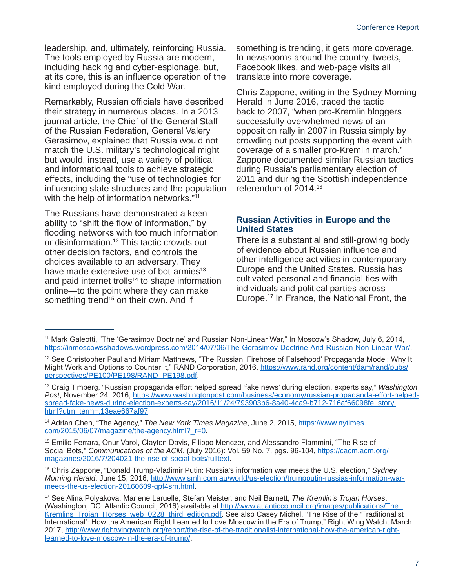leadership, and, ultimately, reinforcing Russia. The tools employed by Russia are modern, including hacking and cyber-espionage, but, at its core, this is an influence operation of the kind employed during the Cold War.

Remarkably, Russian officials have described their strategy in numerous places. In a 2013 journal article, the Chief of the General Staff of the Russian Federation, General Valery Gerasimov, explained that Russia would not match the U.S. military's technological might but would, instead, use a variety of political and informational tools to achieve strategic effects, including the "use of technologies for influencing state structures and the population with the help of information networks."<sup>11</sup>

The Russians have demonstrated a keen ability to "shift the flow of information," by flooding networks with too much information or disinformation.12 This tactic crowds out other decision factors, and controls the choices available to an adversary. They have made extensive use of bot-armies<sup>13</sup> and paid internet trolls<sup>14</sup> to shape information online—to the point where they can make something trend<sup>15</sup> on their own. And if

something is trending, it gets more coverage. In newsrooms around the country, tweets, Facebook likes, and web-page visits all translate into more coverage.

Chris Zappone, writing in the Sydney Morning Herald in June 2016, traced the tactic back to 2007, "when pro-Kremlin bloggers successfully overwhelmed news of an opposition rally in 2007 in Russia simply by crowding out posts supporting the event with coverage of a smaller pro-Kremlin march." Zappone documented similar Russian tactics during Russia's parliamentary election of 2011 and during the Scottish independence referendum of 2014.16

#### **Russian Activities in Europe and the United States**

There is a substantial and still-growing body of evidence about Russian influence and other intelligence activities in contemporary Europe and the United States. Russia has cultivated personal and financial ties with individuals and political parties across Europe.17 In France, the National Front, the

13 Craig Timberg, "Russian propaganda effort helped spread 'fake news' during election, experts say," *Washington Post*, November 24, 2016, [https://www.washingtonpost.com/business/economy/russian-propaganda-effort-helped](https://www.washingtonpost.com/business/economy/russian-propaganda-effort-helped-spread-fake-news-during-election-experts-say/2016/11/24/793903b6-8a40-4ca9-b712-716af66098fe_story.html?utm_term=.13eae667af97)[spread-fake-news-during-election-experts-say/2016/11/24/793903b6-8a40-4ca9-b712-716af66098fe\\_story.](https://www.washingtonpost.com/business/economy/russian-propaganda-effort-helped-spread-fake-news-during-election-experts-say/2016/11/24/793903b6-8a40-4ca9-b712-716af66098fe_story.html?utm_term=.13eae667af97) [html?utm\\_term=.13eae667af97](https://www.washingtonpost.com/business/economy/russian-propaganda-effort-helped-spread-fake-news-during-election-experts-say/2016/11/24/793903b6-8a40-4ca9-b712-716af66098fe_story.html?utm_term=.13eae667af97).

14 Adrian Chen, "The Agency," *The New York Times Magazine*, June 2, 2015, [https://www.nytimes.](https://www.nytimes.com/2015/06/07/magazine/the-agency.html?_r=0) [com/2015/06/07/magazine/the-agency.html?\\_r=0.](https://www.nytimes.com/2015/06/07/magazine/the-agency.html?_r=0)

<sup>15</sup> Emilio Ferrara, Onur Varol, Clayton Davis, Filippo Menczer, and Alessandro Flammini, "The Rise of Social Bots," *Communications of the ACM*, (July 2016): Vol. 59 No. 7, pgs. 96-104, [https://cacm.acm.org/](https://cacm.acm.org/magazines/2016/7/204021-the-rise-of-social-bots/fulltext) [magazines/2016/7/204021-the-rise-of-social-bots/fulltext](https://cacm.acm.org/magazines/2016/7/204021-the-rise-of-social-bots/fulltext).

16 Chris Zappone, "Donald Trump-Vladimir Putin: Russia's information war meets the U.S. election," *Sydney Morning Herald*, June 15, 2016, [http://www.smh.com.au/world/us-election/trumpputin-russias-information-war](http://www.smh.com.au/world/us-election/trumpputin-russias-information-war-meets-the-us-election-20160609-gpf4sm.html)[meets-the-us-election-20160609-gpf4sm.html.](http://www.smh.com.au/world/us-election/trumpputin-russias-information-war-meets-the-us-election-20160609-gpf4sm.html)

<sup>11</sup> Mark Galeotti, "The 'Gerasimov Doctrine' and Russian Non-Linear War," In Moscow's Shadow, July 6, 2014, <https://inmoscowsshadows.wordpress.com/2014/07/06/The-Gerasimov-Doctrine-And-Russian-Non-Linear-War/>.

<sup>&</sup>lt;sup>12</sup> See Christopher Paul and Miriam Matthews, "The Russian 'Firehose of Falsehood' Propaganda Model: Why It Might Work and Options to Counter It," RAND Corporation, 2016, [https://www.rand.org/content/dam/rand/pubs/](https://www.rand.org/content/dam/rand/pubs/perspectives/PE100/PE198/RAND_PE198.pdf) [perspectives/PE100/PE198/RAND\\_PE198.pdf](https://www.rand.org/content/dam/rand/pubs/perspectives/PE100/PE198/RAND_PE198.pdf).

<sup>17</sup> See Alina Polyakova, Marlene Laruelle, Stefan Meister, and Neil Barnett, *The Kremlin's Trojan Horses*, (Washington, DC: Atlantic Council, 2016) available at http://www.atlanticcouncil.org/images/publications/The [Kremlins\\_Trojan\\_Horses\\_web\\_0228\\_third\\_edition.pdf](http://www.atlanticcouncil.org/images/publications/The_Kremlins_Trojan_Horses_web_0228_third_edition.pdf). See also Casey Michel, "The Rise of the 'Traditionalist International': How the American Right Learned to Love Moscow in the Era of Trump," Right Wing Watch, March 2017, [http://www.rightwingwatch.org/report/the-rise-of-the-traditionalist-international-how-the-american-right](http://www.rightwingwatch.org/report/the-rise-of-the-traditionalist-international-how-the-american-right-learned-to-love-moscow-in-the-era-of-trump/)[learned-to-love-moscow-in-the-era-of-trump/](http://www.rightwingwatch.org/report/the-rise-of-the-traditionalist-international-how-the-american-right-learned-to-love-moscow-in-the-era-of-trump/).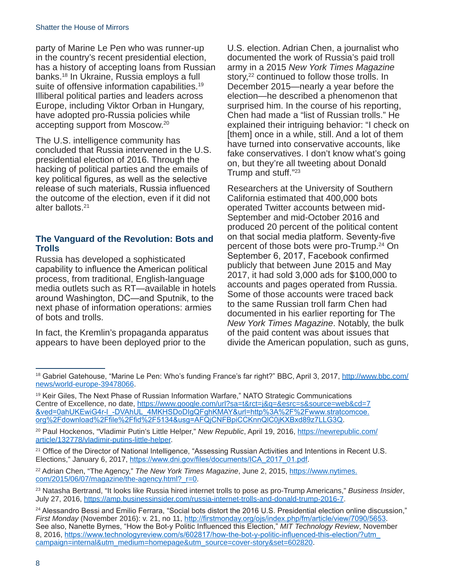party of Marine Le Pen who was runner-up in the country's recent presidential election, has a history of accepting loans from Russian banks.18 In Ukraine, Russia employs a full suite of offensive information capabilities.<sup>19</sup> Illiberal political parties and leaders across Europe, including Viktor Orban in Hungary, have adopted pro-Russia policies while accepting support from Moscow.20

The U.S. intelligence community has concluded that Russia intervened in the U.S. presidential election of 2016. Through the hacking of political parties and the emails of key political figures, as well as the selective release of such materials, Russia influenced the outcome of the election, even if it did not alter ballots.21

### **The Vanguard of the Revolution: Bots and Trolls**

Russia has developed a sophisticated capability to influence the American political process, from traditional, English-language media outlets such as RT—available in hotels around Washington, DC—and Sputnik, to the next phase of information operations: armies of bots and trolls.

In fact, the Kremlin's propaganda apparatus appears to have been deployed prior to the

U.S. election. Adrian Chen, a journalist who documented the work of Russia's paid troll army in a 2015 *New York Times Magazine* story,<sup>22</sup> continued to follow those trolls. In December 2015—nearly a year before the election—he described a phenomenon that surprised him. In the course of his reporting, Chen had made a "list of Russian trolls." He explained their intriguing behavior: "I check on [them] once in a while, still. And a lot of them have turned into conservative accounts, like fake conservatives. I don't know what's going on, but they're all tweeting about Donald Trump and stuff."23

Researchers at the University of Southern California estimated that 400,000 bots operated Twitter accounts between mid-September and mid-October 2016 and produced 20 percent of the political content on that social media platform. Seventy-five percent of those bots were pro-Trump.24 On September 6, 2017, Facebook confirmed publicly that between June 2015 and May 2017, it had sold 3,000 ads for \$100,000 to accounts and pages operated from Russia. Some of those accounts were traced back to the same Russian troll farm Chen had documented in his earlier reporting for The *New York Times Magazine*. Notably, the bulk of the paid content was about issues that divide the American population, such as guns,

<sup>18</sup> Gabriel Gatehouse, "Marine Le Pen: Who's funding France's far right?" BBC, April 3, 2017, [http://www.bbc.com/](http://www.bbc.com/news/world-europe-39478066) [news/world-europe-39478066](http://www.bbc.com/news/world-europe-39478066).

<sup>&</sup>lt;sup>19</sup> Keir Giles, The Next Phase of Russian Information Warfare," NATO Strategic Communications Centre of Excellence, no date, [https://www.google.com/url?sa=t&rct=j&q=&esrc=s&source=web&cd=7](https://www.google.com/url?sa=t&rct=j&q=&esrc=s&source=web&cd=7&ved=0ahUKEwiG4r-l_-DVAhUL_4MKHSDoDIgQFghKMAY&url=http%3A%2F%2Fwww.stratcomcoe.org%2Fdownload%2Ffile%2Ffid%2F5134&usg=AFQjCNFBpiCCKnnQlC0jKXBxd89z7LLG3Q) [&ved=0ahUKEwiG4r-l\\_-DVAhUL\\_4MKHSDoDIgQFghKMAY&url=http%3A%2F%2Fwww.stratcomcoe.](https://www.google.com/url?sa=t&rct=j&q=&esrc=s&source=web&cd=7&ved=0ahUKEwiG4r-l_-DVAhUL_4MKHSDoDIgQFghKMAY&url=http%3A%2F%2Fwww.stratcomcoe.org%2Fdownload%2Ffile%2Ffid%2F5134&usg=AFQjCNFBpiCCKnnQlC0jKXBxd89z7LLG3Q) [org%2Fdownload%2Ffile%2Ffid%2F5134&usg=AFQjCNFBpiCCKnnQlC0jKXBxd89z7LLG3Q](https://www.google.com/url?sa=t&rct=j&q=&esrc=s&source=web&cd=7&ved=0ahUKEwiG4r-l_-DVAhUL_4MKHSDoDIgQFghKMAY&url=http%3A%2F%2Fwww.stratcomcoe.org%2Fdownload%2Ffile%2Ffid%2F5134&usg=AFQjCNFBpiCCKnnQlC0jKXBxd89z7LLG3Q).

<sup>20</sup> Paul Hockenos, "Vladimir Putin's Little Helper," *New Republic*, April 19, 2016, [https://newrepublic.com/](https://newrepublic.com/article/132778/vladimir-putins-little-helper) [article/132778/vladimir-putins-little-helper.](https://newrepublic.com/article/132778/vladimir-putins-little-helper)

<sup>&</sup>lt;sup>21</sup> Office of the Director of National Intelligence, "Assessing Russian Activities and Intentions in Recent U.S. Elections," January 6, 2017, [https://www.dni.gov/files/documents/ICA\\_2017\\_01.pdf](https://www.dni.gov/files/documents/ICA_2017_01.pdf).

<sup>&</sup>lt;sup>22</sup> Adrian Chen, "The Agency," *The New York Times Magazine*, June 2, 2015, [https://www.nytimes.](https://www.nytimes.com/2015/06/07/magazine/the-agency.html?_r=0) [com/2015/06/07/magazine/the-agency.html?\\_r=0.](https://www.nytimes.com/2015/06/07/magazine/the-agency.html?_r=0)

<sup>23</sup> Natasha Bertrand, "It looks like Russia hired internet trolls to pose as pro-Trump Americans," *Business Insider*, July 27, 2016, [https://amp.businessinsider.com/russia-internet-trolls-and-donald-trump-2016-7.](https://amp.businessinsider.com/russia-internet-trolls-and-donald-trump-2016-7)

<sup>&</sup>lt;sup>24</sup> Alessandro Bessi and Emilio Ferrara, "Social bots distort the 2016 U.S. Presidential election online discussion," *First Monday* (November 2016): v. 21, no 11, <http://firstmonday.org/ojs/index.php/fm/article/view/7090/5653>. See also, Nanette Byrnes, "How the Bot-y Politic Influenced this Election," *MIT Technology Review*, November 8, 2016, [https://www.technologyreview.com/s/602817/how-the-bot-y-politic-influenced-this-election/?utm\\_](https://www.technologyreview.com/s/602817/how-the-bot-y-politic-influenced-this-election/?utm_campaign=internal&utm_medium=homepage&utm_source=cover-story&set=602820) [campaign=internal&utm\\_medium=homepage&utm\\_source=cover-story&set=602820.](https://www.technologyreview.com/s/602817/how-the-bot-y-politic-influenced-this-election/?utm_campaign=internal&utm_medium=homepage&utm_source=cover-story&set=602820)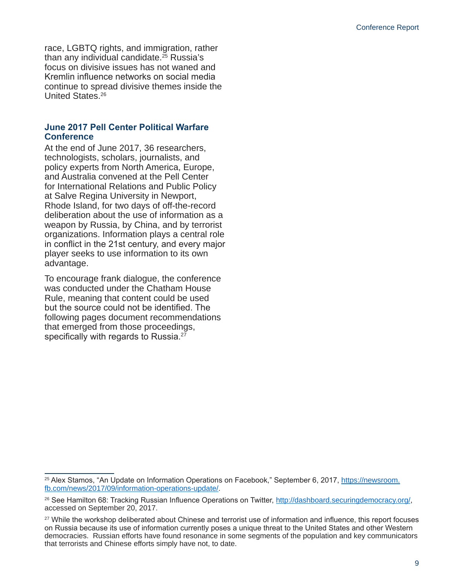race, LGBTQ rights, and immigration, rather than any individual candidate.25 Russia's focus on divisive issues has not waned and Kremlin influence networks on social media continue to spread divisive themes inside the United States.26

#### **June 2017 Pell Center Political Warfare Conference**

At the end of June 2017, 36 researchers, technologists, scholars, journalists, and policy experts from North America, Europe, and Australia convened at the Pell Center for International Relations and Public Policy at Salve Regina University in Newport, Rhode Island, for two days of off-the-record deliberation about the use of information as a weapon by Russia, by China, and by terrorist organizations. Information plays a central role in conflict in the 21st century, and every major player seeks to use information to its own advantage.

To encourage frank dialogue, the conference was conducted under the Chatham House Rule, meaning that content could be used but the source could not be identified. The following pages document recommendations that emerged from those proceedings, specifically with regards to Russia.<sup>27</sup>

<sup>25</sup> Alex Stamos, "An Update on Information Operations on Facebook," September 6, 2017, [https://newsroom.](https://newsroom.fb.com/news/2017/09/information-operations-update/) [fb.com/news/2017/09/information-operations-update/](https://newsroom.fb.com/news/2017/09/information-operations-update/).

<sup>26</sup> See Hamilton 68: Tracking Russian Influence Operations on Twitter, <http://dashboard.securingdemocracy.org/>, accessed on September 20, 2017.

<sup>27</sup> While the workshop deliberated about Chinese and terrorist use of information and influence, this report focuses on Russia because its use of information currently poses a unique threat to the United States and other Western democracies. Russian efforts have found resonance in some segments of the population and key communicators that terrorists and Chinese efforts simply have not, to date.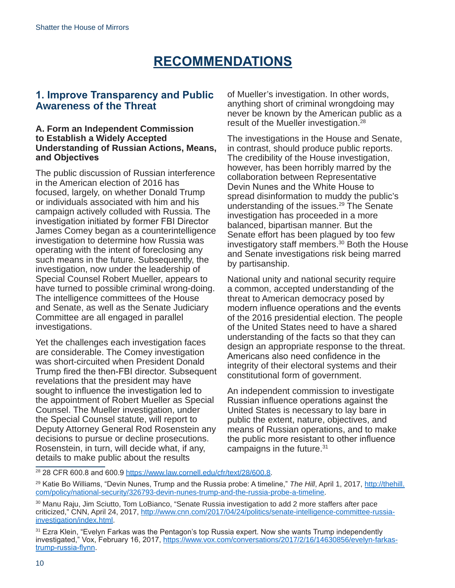## **RECOMMENDATIONS**

### **1. Improve Transparency and Public Awareness of the Threat**

#### **A. Form an Independent Commission to Establish a Widely Accepted Understanding of Russian Actions, Means, and Objectives**

The public discussion of Russian interference in the American election of 2016 has focused, largely, on whether Donald Trump or individuals associated with him and his campaign actively colluded with Russia. The investigation initiated by former FBI Director James Comey began as a counterintelligence investigation to determine how Russia was operating with the intent of foreclosing any such means in the future. Subsequently, the investigation, now under the leadership of Special Counsel Robert Mueller, appears to have turned to possible criminal wrong-doing. The intelligence committees of the House and Senate, as well as the Senate Judiciary Committee are all engaged in parallel investigations.

Yet the challenges each investigation faces are considerable. The Comey investigation was short-circuited when President Donald Trump fired the then-FBI director. Subsequent revelations that the president may have sought to influence the investigation led to the appointment of Robert Mueller as Special Counsel. The Mueller investigation, under the Special Counsel statute, will report to Deputy Attorney General Rod Rosenstein any decisions to pursue or decline prosecutions. Rosenstein, in turn, will decide what, if any, details to make public about the results

of Mueller's investigation. In other words, anything short of criminal wrongdoing may never be known by the American public as a result of the Mueller investigation.28

The investigations in the House and Senate, in contrast, should produce public reports. The credibility of the House investigation, however, has been horribly marred by the collaboration between Representative Devin Nunes and the White House to spread disinformation to muddy the public's understanding of the issues.<sup>29</sup> The Senate investigation has proceeded in a more balanced, bipartisan manner. But the Senate effort has been plagued by too few investigatory staff members.<sup>30</sup> Both the House and Senate investigations risk being marred by partisanship.

National unity and national security require a common, accepted understanding of the threat to American democracy posed by modern influence operations and the events of the 2016 presidential election. The people of the United States need to have a shared understanding of the facts so that they can design an appropriate response to the threat. Americans also need confidence in the integrity of their electoral systems and their constitutional form of government.

An independent commission to investigate Russian influence operations against the United States is necessary to lay bare in public the extent, nature, objectives, and means of Russian operations, and to make the public more resistant to other influence campaigns in the future.<sup>31</sup>

<sup>28</sup> 28 CFR 600.8 and 600.9 <https://www.law.cornell.edu/cfr/text/28/600.8>.

<sup>29</sup> Katie Bo Williams, "Devin Nunes, Trump and the Russia probe: A timeline," *The Hill*, April 1, 2017, [http://thehill.](http://thehill.com/policy/national-security/326793-devin-nunes-trump-and-the-russia-probe-a-timeline) [com/policy/national-security/326793-devin-nunes-trump-and-the-russia-probe-a-timeline.](http://thehill.com/policy/national-security/326793-devin-nunes-trump-and-the-russia-probe-a-timeline)

<sup>30</sup> Manu Raju, Jim Sciutto, Tom LoBianco, "Senate Russia investigation to add 2 more staffers after pace criticized," CNN, April 24, 2017, [http://www.cnn.com/2017/04/24/politics/senate-intelligence-committee-russia](http://www.cnn.com/2017/04/24/politics/senate-intelligence-committee-russia-investigation/index.html)[investigation/index.html.](http://www.cnn.com/2017/04/24/politics/senate-intelligence-committee-russia-investigation/index.html)

<sup>&</sup>lt;sup>31</sup> Ezra Klein, "Evelyn Farkas was the Pentagon's top Russia expert. Now she wants Trump independently investigated," Vox, February 16, 2017, [https://www.vox.com/conversations/2017/2/16/14630856/evelyn-farkas](https://www.vox.com/conversations/2017/2/16/14630856/evelyn-farkas-trump-russia-flynn)[trump-russia-flynn](https://www.vox.com/conversations/2017/2/16/14630856/evelyn-farkas-trump-russia-flynn).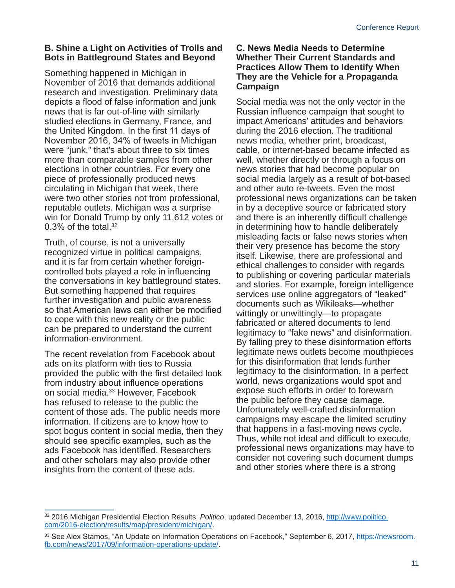#### **B. Shine a Light on Activities of Trolls and Bots in Battleground States and Beyond**

Something happened in Michigan in November of 2016 that demands additional research and investigation. Preliminary data depicts a flood of false information and junk news that is far out-of-line with similarly studied elections in Germany, France, and the United Kingdom. In the first 11 days of November 2016, 34% of tweets in Michigan were "junk," that's about three to six times more than comparable samples from other elections in other countries. For every one piece of professionally produced news circulating in Michigan that week, there were two other stories not from professional, reputable outlets. Michigan was a surprise win for Donald Trump by only 11,612 votes or 0.3% of the total. $32$ 

Truth, of course, is not a universally recognized virtue in political campaigns, and it is far from certain whether foreigncontrolled bots played a role in influencing the conversations in key battleground states. But something happened that requires further investigation and public awareness so that American laws can either be modified to cope with this new reality or the public can be prepared to understand the current information-environment.

The recent revelation from Facebook about ads on its platform with ties to Russia provided the public with the first detailed look from industry about influence operations on social media.33 However, Facebook has refused to release to the public the content of those ads. The public needs more information. If citizens are to know how to spot bogus content in social media, then they should see specific examples, such as the ads Facebook has identified. Researchers and other scholars may also provide other insights from the content of these ads.

#### **C. News Media Needs to Determine Whether Their Current Standards and Practices Allow Them to Identify When They are the Vehicle for a Propaganda Campaign**

Social media was not the only vector in the Russian influence campaign that sought to impact Americans' attitudes and behaviors during the 2016 election. The traditional news media, whether print, broadcast, cable, or internet-based became infected as well, whether directly or through a focus on news stories that had become popular on social media largely as a result of bot-based and other auto re-tweets. Even the most professional news organizations can be taken in by a deceptive source or fabricated story and there is an inherently difficult challenge in determining how to handle deliberately misleading facts or false news stories when their very presence has become the story itself. Likewise, there are professional and ethical challenges to consider with regards to publishing or covering particular materials and stories. For example, foreign intelligence services use online aggregators of "leaked" documents such as Wikileaks—whether wittingly or unwittingly—to propagate fabricated or altered documents to lend legitimacy to "fake news" and disinformation. By falling prey to these disinformation efforts legitimate news outlets become mouthpieces for this disinformation that lends further legitimacy to the disinformation. In a perfect world, news organizations would spot and expose such efforts in order to forewarn the public before they cause damage. Unfortunately well-crafted disinformation campaigns may escape the limited scrutiny that happens in a fast-moving news cycle. Thus, while not ideal and difficult to execute, professional news organizations may have to consider not covering such document dumps and other stories where there is a strong

<sup>32 2016</sup> Michigan Presidential Election Results, *Politico*, updated December 13, 2016, [http://www.politico.](http://www.politico.com/2016-election/results/map/president/michigan/) [com/2016-election/results/map/president/michigan/.](http://www.politico.com/2016-election/results/map/president/michigan/)

<sup>33</sup> See Alex Stamos, "An Update on Information Operations on Facebook," September 6, 2017, [https://newsroom.](https://newsroom.fb.com/news/2017/09/information-operations-update/) [fb.com/news/2017/09/information-operations-update/](https://newsroom.fb.com/news/2017/09/information-operations-update/).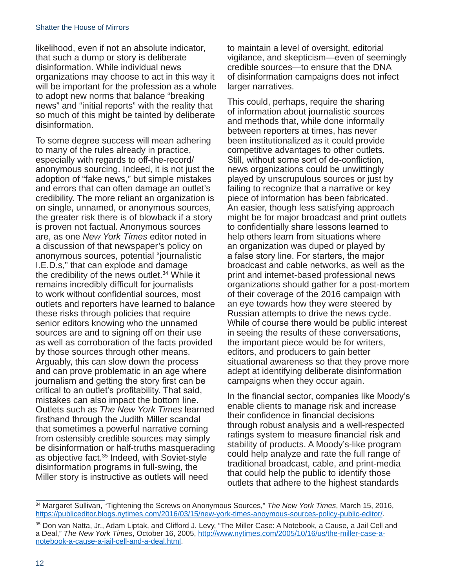likelihood, even if not an absolute indicator, that such a dump or story is deliberate disinformation. While individual news organizations may choose to act in this way it will be important for the profession as a whole to adopt new norms that balance "breaking news" and "initial reports" with the reality that so much of this might be tainted by deliberate disinformation.

To some degree success will mean adhering to many of the rules already in practice, especially with regards to off-the-record/ anonymous sourcing. Indeed, it is not just the adoption of "fake news," but simple mistakes and errors that can often damage an outlet's credibility. The more reliant an organization is on single, unnamed, or anonymous sources, the greater risk there is of blowback if a story is proven not factual. Anonymous sources are, as one *New York Times* editor noted in a discussion of that newspaper's policy on anonymous sources, potential "journalistic I.E.D.s," that can explode and damage the credibility of the news outlet.34 While it remains incredibly difficult for journalists to work without confidential sources, most outlets and reporters have learned to balance these risks through policies that require senior editors knowing who the unnamed sources are and to signing off on their use as well as corroboration of the facts provided by those sources through other means. Arguably, this can slow down the process and can prove problematic in an age where journalism and getting the story first can be critical to an outlet's profitability. That said, mistakes can also impact the bottom line. Outlets such as *The New York Times* learned firsthand through the Judith Miller scandal that sometimes a powerful narrative coming from ostensibly credible sources may simply be disinformation or half-truths masquerading as objective fact.35 Indeed, with Soviet-style disinformation programs in full-swing, the Miller story is instructive as outlets will need

to maintain a level of oversight, editorial vigilance, and skepticism—even of seemingly credible sources—to ensure that the DNA of disinformation campaigns does not infect larger narratives.

This could, perhaps, require the sharing of information about journalistic sources and methods that, while done informally between reporters at times, has never been institutionalized as it could provide competitive advantages to other outlets. Still, without some sort of de-confliction, news organizations could be unwittingly played by unscrupulous sources or just by failing to recognize that a narrative or key piece of information has been fabricated. An easier, though less satisfying approach might be for major broadcast and print outlets to confidentially share lessons learned to help others learn from situations where an organization was duped or played by a false story line. For starters, the major broadcast and cable networks, as well as the print and internet-based professional news organizations should gather for a post-mortem of their coverage of the 2016 campaign with an eye towards how they were steered by Russian attempts to drive the news cycle. While of course there would be public interest in seeing the results of these conversations, the important piece would be for writers, editors, and producers to gain better situational awareness so that they prove more adept at identifying deliberate disinformation campaigns when they occur again.

In the financial sector, companies like Moody's enable clients to manage risk and increase their confidence in financial decisions through robust analysis and a well-respected ratings system to measure financial risk and stability of products. A Moody's-like program could help analyze and rate the full range of traditional broadcast, cable, and print-media that could help the public to identify those outlets that adhere to the highest standards

<sup>34</sup> Margaret Sullivan, "Tightening the Screws on Anonymous Sources," *The New York Times*, March 15, 2016, [https://publiceditor.blogs.nytimes.com/2016/03/15/new-york-times-anoymous-sources-policy-public-editor/.](https://publiceditor.blogs.nytimes.com/2016/03/15/new-york-times-anoymous-sources-policy-public-editor/)

<sup>35</sup> Don van Natta, Jr., Adam Liptak, and Clifford J. Levy, "The Miller Case: A Notebook, a Cause, a Jail Cell and a Deal," *The New York Times*, October 16, 2005, [http://www.nytimes.com/2005/10/16/us/the-miller-case-a](http://www.nytimes.com/2005/10/16/us/the-miller-case-a-notebook-a-cause-a-jail-cell-and-a-deal.html)[notebook-a-cause-a-jail-cell-and-a-deal.html.](http://www.nytimes.com/2005/10/16/us/the-miller-case-a-notebook-a-cause-a-jail-cell-and-a-deal.html)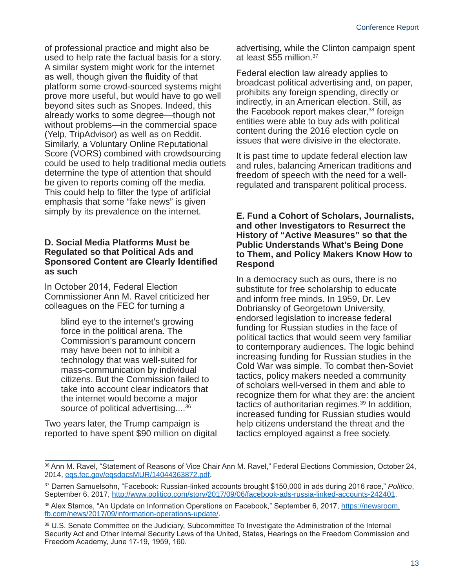of professional practice and might also be used to help rate the factual basis for a story. A similar system might work for the internet as well, though given the fluidity of that platform some crowd-sourced systems might prove more useful, but would have to go well beyond sites such as Snopes. Indeed, this already works to some degree—though not without problems—in the commercial space (Yelp, TripAdvisor) as well as on Reddit. Similarly, a Voluntary Online Reputational Score (VORS) combined with crowdsourcing could be used to help traditional media outlets determine the type of attention that should be given to reports coming off the media. This could help to filter the type of artificial emphasis that some "fake news" is given simply by its prevalence on the internet.

#### **D. Social Media Platforms Must be Regulated so that Political Ads and Sponsored Content are Clearly Identified as such**

In October 2014, Federal Election Commissioner Ann M. Ravel criticized her colleagues on the FEC for turning a

blind eye to the internet's growing force in the political arena. The Commission's paramount concern may have been not to inhibit a technology that was well-suited for mass-communication by individual citizens. But the Commission failed to take into account clear indicators that the internet would become a major source of political advertising....<sup>36</sup>

Two years later, the Trump campaign is reported to have spent \$90 million on digital advertising, while the Clinton campaign spent at least \$55 million.<sup>37</sup>

Federal election law already applies to broadcast political advertising and, on paper, prohibits any foreign spending, directly or indirectly, in an American election. Still, as the Facebook report makes clear,<sup>38</sup> foreign entities were able to buy ads with political content during the 2016 election cycle on issues that were divisive in the electorate.

It is past time to update federal election law and rules, balancing American traditions and freedom of speech with the need for a wellregulated and transparent political process.

#### **E. Fund a Cohort of Scholars, Journalists, and other Investigators to Resurrect the History of "Active Measures" so that the Public Understands What's Being Done to Them, and Policy Makers Know How to Respond**

In a democracy such as ours, there is no substitute for free scholarship to educate and inform free minds. In 1959, Dr. Lev Dobriansky of Georgetown University, endorsed legislation to increase federal funding for Russian studies in the face of political tactics that would seem very familiar to contemporary audiences. The logic behind increasing funding for Russian studies in the Cold War was simple. To combat then-Soviet tactics, policy makers needed a community of scholars well-versed in them and able to recognize them for what they are: the ancient tactics of authoritarian regimes.<sup>39</sup> In addition, increased funding for Russian studies would help citizens understand the threat and the tactics employed against a free society.

<sup>36</sup> Ann M. Ravel, "Statement of Reasons of Vice Chair Ann M. Ravel," Federal Elections Commission, October 24, 2014, [eqs.fec.gov/eqsdocsMUR/14044363872.pdf](file:///C:/Users/jim.ludes/OneDrive%20-%20Salve%20Regina%20University/Projects/PW%20COE/eqs.fec.gov/eqsdocsMUR/14044363872.pdf).

<sup>37</sup> Darren Samuelsohn, "Facebook: Russian-linked accounts brought \$150,000 in ads during 2016 race," *Politico*, September 6, 2017, [http://www.politico.com/story/2017/09/06/facebook-ads-russia-linked-accounts-242401.](http://www.politico.com/story/2017/09/06/facebook-ads-russia-linked-accounts-242401)

<sup>38</sup> Alex Stamos, "An Update on Information Operations on Facebook," September 6, 2017, [https://newsroom.](https://newsroom.fb.com/news/2017/09/information-operations-update/) [fb.com/news/2017/09/information-operations-update/](https://newsroom.fb.com/news/2017/09/information-operations-update/).

<sup>39</sup> U.S. Senate Committee on the Judiciary, Subcommittee To Investigate the Administration of the Internal Security Act and Other Internal Security Laws of the United, States, Hearings on the Freedom Commission and Freedom Academy, June 17-19, 1959, 160.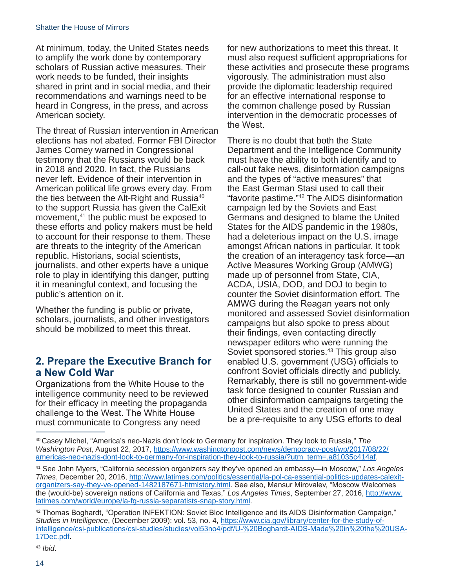At minimum, today, the United States needs to amplify the work done by contemporary scholars of Russian active measures. Their work needs to be funded, their insights shared in print and in social media, and their recommendations and warnings need to be heard in Congress, in the press, and across American society.

The threat of Russian intervention in American elections has not abated. Former FBI Director James Comey warned in Congressional testimony that the Russians would be back in 2018 and 2020. In fact, the Russians never left. Evidence of their intervention in American political life grows every day. From the ties between the Alt-Right and Russia<sup>40</sup> to the support Russia has given the CalExit movement,<sup>41</sup> the public must be exposed to these efforts and policy makers must be held to account for their response to them. These are threats to the integrity of the American republic. Historians, social scientists, journalists, and other experts have a unique role to play in identifying this danger, putting it in meaningful context, and focusing the public's attention on it.

Whether the funding is public or private, scholars, journalists, and other investigators should be mobilized to meet this threat.

## **2. Prepare the Executive Branch for a New Cold War**

Organizations from the White House to the intelligence community need to be reviewed for their efficacy in meeting the propaganda challenge to the West. The White House must communicate to Congress any need

for new authorizations to meet this threat. It must also request sufficient appropriations for these activities and prosecute these programs vigorously. The administration must also provide the diplomatic leadership required for an effective international response to the common challenge posed by Russian intervention in the democratic processes of the West.

There is no doubt that both the State Department and the Intelligence Community must have the ability to both identify and to call-out fake news, disinformation campaigns and the types of "active measures" that the East German Stasi used to call their "favorite pastime."42 The AIDS disinformation campaign led by the Soviets and East Germans and designed to blame the United States for the AIDS pandemic in the 1980s, had a deleterious impact on the U.S. image amongst African nations in particular. It took the creation of an interagency task force—an Active Measures Working Group (AMWG) made up of personnel from State, CIA, ACDA, USIA, DOD, and DOJ to begin to counter the Soviet disinformation effort. The AMWG during the Reagan years not only monitored and assessed Soviet disinformation campaigns but also spoke to press about their findings, even contacting directly newspaper editors who were running the Soviet sponsored stories.<sup>43</sup> This group also enabled U.S. government (USG) officials to confront Soviet officials directly and publicly. Remarkably, there is still no government-wide task force designed to counter Russian and other disinformation campaigns targeting the United States and the creation of one may be a pre-requisite to any USG efforts to deal

<sup>43</sup> *Ibid*.

<sup>40</sup> Casey Michel, "America's neo-Nazis don't look to Germany for inspiration. They look to Russia," *The Washington Post*, August 22, 2017, [https://www.washingtonpost.com/news/democracy-post/wp/2017/08/22/](https://www.washingtonpost.com/news/democracy-post/wp/2017/08/22/americas-neo-nazis-dont-look-to-germany-for-inspiration-they-look-to-russia/?utm_term=.a81035c414af) [americas-neo-nazis-dont-look-to-germany-for-inspiration-they-look-to-russia/?utm\\_term=.a81035c414af.](https://www.washingtonpost.com/news/democracy-post/wp/2017/08/22/americas-neo-nazis-dont-look-to-germany-for-inspiration-they-look-to-russia/?utm_term=.a81035c414af)

<sup>41</sup> See John Myers, "California secession organizers say they've opened an embassy—in Moscow," *Los Angeles Times*, December 20, 2016, [http://www.latimes.com/politics/essential/la-pol-ca-essential-politics-updates-calexit](http://www.latimes.com/politics/essential/la-pol-ca-essential-politics-updates-calexit-organizers-say-they-ve-opened-1482187671-htmlstory.html)[organizers-say-they-ve-opened-1482187671-htmlstory.html](http://www.latimes.com/politics/essential/la-pol-ca-essential-politics-updates-calexit-organizers-say-they-ve-opened-1482187671-htmlstory.html). See also, Mansur Mirovalev, "Moscow Welcomes the (would-be) sovereign nations of California and Texas," *Los Angeles Times*, September 27, 2016, [http://www.](http://www.latimes.com/world/europe/la-fg-russia-separatists-snap-story.html) [latimes.com/world/europe/la-fg-russia-separatists-snap-story.html.](http://www.latimes.com/world/europe/la-fg-russia-separatists-snap-story.html)

<sup>42</sup> Thomas Boghardt, "Operation INFEKTION: Soviet Bloc Intelligence and its AIDS Disinformation Campaign," *Studies in Intelligence*, (December 2009): vol. 53, no. 4, [https://www.cia.gov/library/center-for-the-study-of](https://www.cia.gov/library/center-for-the-study-of-intelligence/csi-publications/csi-studies/studies/vol53no4/pdf/U-%20Boghardt-AIDS-Made%20in%20the%20USA-17Dec.pdf)[intelligence/csi-publications/csi-studies/studies/vol53no4/pdf/U-%20Boghardt-AIDS-Made%20in%20the%20USA-](https://www.cia.gov/library/center-for-the-study-of-intelligence/csi-publications/csi-studies/studies/vol53no4/pdf/U-%20Boghardt-AIDS-Made%20in%20the%20USA-17Dec.pdf)[17Dec.pdf.](https://www.cia.gov/library/center-for-the-study-of-intelligence/csi-publications/csi-studies/studies/vol53no4/pdf/U-%20Boghardt-AIDS-Made%20in%20the%20USA-17Dec.pdf)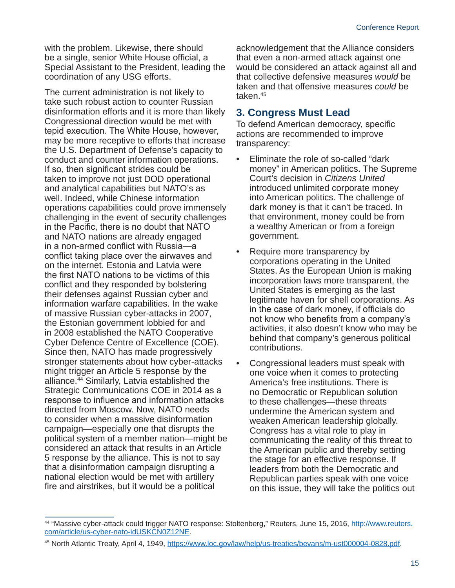with the problem. Likewise, there should be a single, senior White House official, a Special Assistant to the President, leading the coordination of any USG efforts.

The current administration is not likely to take such robust action to counter Russian disinformation efforts and it is more than likely Congressional direction would be met with tepid execution. The White House, however, may be more receptive to efforts that increase the U.S. Department of Defense's capacity to conduct and counter information operations. If so, then significant strides could be taken to improve not just DOD operational and analytical capabilities but NATO's as well. Indeed, while Chinese information operations capabilities could prove immensely challenging in the event of security challenges in the Pacific, there is no doubt that NATO and NATO nations are already engaged in a non-armed conflict with Russia—a conflict taking place over the airwaves and on the internet. Estonia and Latvia were the first NATO nations to be victims of this conflict and they responded by bolstering their defenses against Russian cyber and information warfare capabilities. In the wake of massive Russian cyber-attacks in 2007, the Estonian government lobbied for and in 2008 established the NATO Cooperative Cyber Defence Centre of Excellence (COE). Since then, NATO has made progressively stronger statements about how cyber-attacks might trigger an Article 5 response by the alliance.44 Similarly, Latvia established the Strategic Communications COE in 2014 as a response to influence and information attacks directed from Moscow. Now, NATO needs to consider when a massive disinformation campaign—especially one that disrupts the political system of a member nation—might be considered an attack that results in an Article 5 response by the alliance. This is not to say that a disinformation campaign disrupting a national election would be met with artillery fire and airstrikes, but it would be a political

acknowledgement that the Alliance considers that even a non-armed attack against one would be considered an attack against all and that collective defensive measures *would* be taken and that offensive measures *could* be taken.45

### **3. Congress Must Lead**

To defend American democracy, specific actions are recommended to improve transparency:

- Eliminate the role of so-called "dark money" in American politics. The Supreme Court's decision in *Citizens United* introduced unlimited corporate money into American politics. The challenge of dark money is that it can't be traced. In that environment, money could be from a wealthy American or from a foreign government.
- Require more transparency by corporations operating in the United States. As the European Union is making incorporation laws more transparent, the United States is emerging as the last legitimate haven for shell corporations. As in the case of dark money, if officials do not know who benefits from a company's activities, it also doesn't know who may be behind that company's generous political contributions.
- Congressional leaders must speak with one voice when it comes to protecting America's free institutions. There is no Democratic or Republican solution to these challenges—these threats undermine the American system and weaken American leadership globally. Congress has a vital role to play in communicating the reality of this threat to the American public and thereby setting the stage for an effective response. If leaders from both the Democratic and Republican parties speak with one voice on this issue, they will take the politics out

<sup>44 &</sup>quot;Massive cyber-attack could trigger NATO response: Stoltenberg," Reuters, June 15, 2016, [http://www.reuters.](http://www.reuters.com/article/us-cyber-nato-idUSKCN0Z12NE) [com/article/us-cyber-nato-idUSKCN0Z12NE](http://www.reuters.com/article/us-cyber-nato-idUSKCN0Z12NE).

<sup>45</sup> North Atlantic Treaty, April 4, 1949,<https://www.loc.gov/law/help/us-treaties/bevans/m-ust000004-0828.pdf>.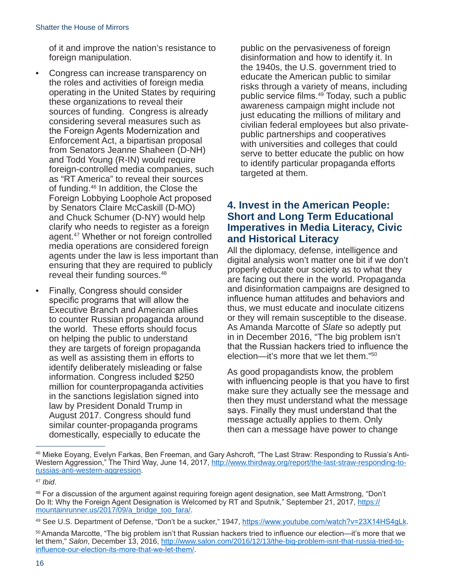of it and improve the nation's resistance to foreign manipulation.

- Congress can increase transparency on the roles and activities of foreign media operating in the United States by requiring these organizations to reveal their sources of funding. Congress is already considering several measures such as the Foreign Agents Modernization and Enforcement Act, a bipartisan proposal from Senators Jeanne Shaheen (D-NH) and Todd Young (R-IN) would require foreign-controlled media companies, such as "RT America" to reveal their sources of funding.46 In addition, the Close the Foreign Lobbying Loophole Act proposed by Senators Claire McCaskill (D-MO) and Chuck Schumer (D-NY) would help clarify who needs to register as a foreign agent.47 Whether or not foreign controlled media operations are considered foreign agents under the law is less important than ensuring that they are required to publicly reveal their funding sources.48
- Finally, Congress should consider specific programs that will allow the Executive Branch and American allies to counter Russian propaganda around the world. These efforts should focus on helping the public to understand they are targets of foreign propaganda as well as assisting them in efforts to identify deliberately misleading or false information. Congress included \$250 million for counterpropaganda activities in the sanctions legislation signed into law by President Donald Trump in August 2017. Congress should fund similar counter-propaganda programs domestically, especially to educate the

public on the pervasiveness of foreign disinformation and how to identify it. In the 1940s, the U.S. government tried to educate the American public to similar risks through a variety of means, including public service films.<sup>49</sup> Today, such a public awareness campaign might include not just educating the millions of military and civilian federal employees but also privatepublic partnerships and cooperatives with universities and colleges that could serve to better educate the public on how to identify particular propaganda efforts targeted at them.

### **4. Invest in the American People: Short and Long Term Educational Imperatives in Media Literacy, Civic and Historical Literacy**

All the diplomacy, defense, intelligence and digital analysis won't matter one bit if we don't properly educate our society as to what they are facing out there in the world. Propaganda and disinformation campaigns are designed to influence human attitudes and behaviors and thus, we must educate and inoculate citizens or they will remain susceptible to the disease. As Amanda Marcotte of *Slate* so adeptly put in in December 2016, "The big problem isn't that the Russian hackers tried to influence the election—it's more that we let them."50

As good propagandists know, the problem with influencing people is that you have to first make sure they actually see the message and then they must understand what the message says. Finally they must understand that the message actually applies to them. Only then can a message have power to change

<sup>46</sup> Mieke Eoyang, Evelyn Farkas, Ben Freeman, and Gary Ashcroft, "The Last Straw: Responding to Russia's AntiWestern Aggression," The Third Way, June 14, 2017, [http://www.thirdway.org/report/the-last-straw-responding-to](http://www.thirdway.org/report/the-last-straw-responding-to-russias-anti-western-aggression)[russias-anti-western-aggression.](http://www.thirdway.org/report/the-last-straw-responding-to-russias-anti-western-aggression)

<sup>47</sup> *[Ibid](http://www.thirdway.org/report/the-last-straw-responding-to-russias-anti-western-aggression)*.

<sup>48</sup> For a discussion of the argument against requiring foreign agent designation, see Matt Armstrong, "Don't Do It: Why the Foreign Agent Designation is Welcomed by RT and Sputnik," September 21, 2017, [https://](https://mountainrunner.us/2017/09/a_bridge_too_fara/) [mountainrunner.us/2017/09/a\\_bridge\\_too\\_fara/](https://mountainrunner.us/2017/09/a_bridge_too_fara/).

<sup>49</sup> See U.S. Department of Defense, "Don't be a sucker," 1947, <https://www.youtube.com/watch?v=23X14HS4gLk>.

<sup>50</sup>Amanda Marcotte, "The big problem isn't that Russian hackers tried to influence our election—it's more that we let them," *Salon*, December 13, 2016, [http://www.salon.com/2016/12/13/the-big-problem-isnt-that-russia-tried-to](http://www.salon.com/2016/12/13/the-big-problem-isnt-that-russia-tried-to-influence-our-election-its-more-that-we-let-them/)[influence-our-election-its-more-that-we-let-them/](http://www.salon.com/2016/12/13/the-big-problem-isnt-that-russia-tried-to-influence-our-election-its-more-that-we-let-them/).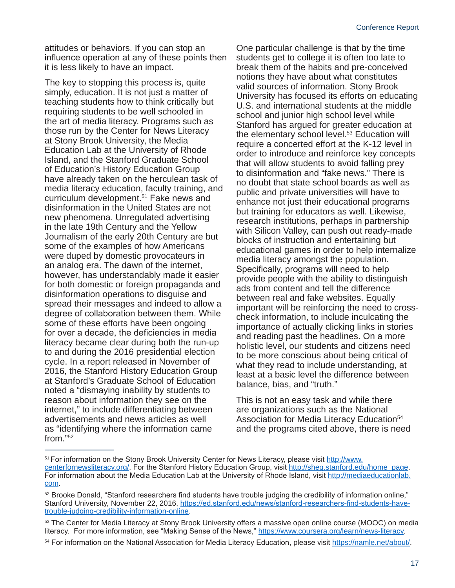attitudes or behaviors. If you can stop an influence operation at any of these points then it is less likely to have an impact.

The key to stopping this process is, quite simply, education. It is not just a matter of teaching students how to think critically but requiring students to be well schooled in the art of media literacy. Programs such as those run by the Center for News Literacy at Stony Brook University, the Media Education Lab at the University of Rhode Island, and the Stanford Graduate School of Education's History Education Group have already taken on the herculean task of media literacy education, faculty training, and curriculum development.<sup>51</sup> Fake news and disinformation in the United States are not new phenomena. Unregulated advertising in the late 19th Century and the Yellow Journalism of the early 20th Century are but some of the examples of how Americans were duped by domestic provocateurs in an analog era. The dawn of the internet, however, has understandably made it easier for both domestic or foreign propaganda and disinformation operations to disguise and spread their messages and indeed to allow a degree of collaboration between them. While some of these efforts have been ongoing for over a decade, the deficiencies in media literacy became clear during both the run-up to and during the 2016 presidential election cycle. In a report released in November of 2016, the Stanford History Education Group at Stanford's Graduate School of Education noted a "dismaying inability by students to reason about information they see on the internet," to include differentiating between advertisements and news articles as well as "identifying where the information came from."52

One particular challenge is that by the time students get to college it is often too late to break them of the habits and pre-conceived notions they have about what constitutes valid sources of information. Stony Brook University has focused its efforts on educating U.S. and international students at the middle school and junior high school level while Stanford has argued for greater education at the elementary school level.<sup>53</sup> Education will require a concerted effort at the K-12 level in order to introduce and reinforce key concepts that will allow students to avoid falling prey to disinformation and "fake news." There is no doubt that state school boards as well as public and private universities will have to enhance not just their educational programs but training for educators as well. Likewise, research institutions, perhaps in partnership with Silicon Valley, can push out ready-made blocks of instruction and entertaining but educational games in order to help internalize media literacy amongst the population. Specifically, programs will need to help provide people with the ability to distinguish ads from content and tell the difference between real and fake websites. Equally important will be reinforcing the need to crosscheck information, to include inculcating the importance of actually clicking links in stories and reading past the headlines. On a more holistic level, our students and citizens need to be more conscious about being critical of what they read to include understanding, at least at a basic level the difference between balance, bias, and "truth."

This is not an easy task and while there are organizations such as the National Association for Media Literacy Education<sup>54</sup> and the programs cited above, there is need

<sup>&</sup>lt;sup>51</sup> For information on the Stony Brook University Center for News Literacy, please visit [http://www.](http://www.centerfornewsliteracy.org/) [centerfornewsliteracy.org/](http://www.centerfornewsliteracy.org/). For the Stanford History Education Group, visit [http://sheg.stanford.edu/home\\_page.](http://sheg.stanford.edu/home_page) For information about the Media Education Lab at the University of Rhode Island, visit [http://mediaeducationlab.](http://mediaeducationlab.com) [com.](http://mediaeducationlab.com)

<sup>&</sup>lt;sup>52</sup> Brooke Donald, "Stanford researchers find students have trouble judging the credibility of information online," Stanford University, November 22, 2016, [https://ed.stanford.edu/news/stanford-researchers-find-students-have](https://ed.stanford.edu/news/stanford-researchers-find-students-have-trouble-judging-credibility-information-online)[trouble-judging-credibility-information-online.](https://ed.stanford.edu/news/stanford-researchers-find-students-have-trouble-judging-credibility-information-online)

<sup>53</sup> The Center for Media Literacy at Stony Brook University offers a massive open online course (MOOC) on media literacy. For more information, see "Making Sense of the News," <https://www.coursera.org/learn/news-literacy>.

<sup>54</sup> For information on the National Association for Media Literacy Education, please visit [https://namle.net/about/.](https://namle.net/about/)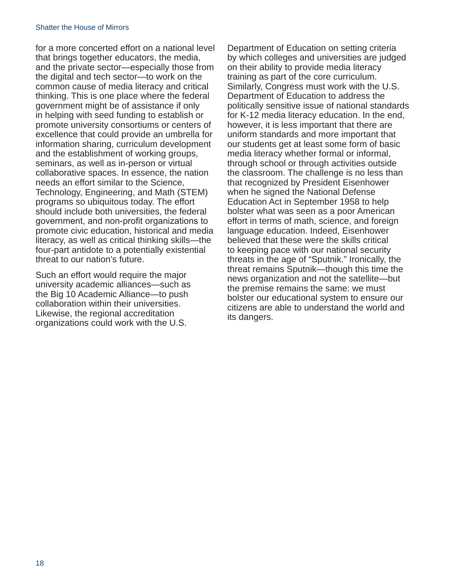for a more concerted effort on a national level that brings together educators, the media, and the private sector—especially those from the digital and tech sector—to work on the common cause of media literacy and critical thinking. This is one place where the federal government might be of assistance if only in helping with seed funding to establish or promote university consortiums or centers of excellence that could provide an umbrella for information sharing, curriculum development and the establishment of working groups, seminars, as well as in-person or virtual collaborative spaces. In essence, the nation needs an effort similar to the Science, Technology, Engineering, and Math (STEM) programs so ubiquitous today. The effort should include both universities, the federal government, and non-profit organizations to promote civic education, historical and media literacy, as well as critical thinking skills—the four-part antidote to a potentially existential threat to our nation's future.

Such an effort would require the major university academic alliances—such as the Big 10 Academic Alliance—to push collaboration within their universities. Likewise, the regional accreditation organizations could work with the U.S.

Department of Education on setting criteria by which colleges and universities are judged on their ability to provide media literacy training as part of the core curriculum. Similarly, Congress must work with the U.S. Department of Education to address the politically sensitive issue of national standards for K-12 media literacy education. In the end, however, it is less important that there are uniform standards and more important that our students get at least some form of basic media literacy whether formal or informal, through school or through activities outside the classroom. The challenge is no less than that recognized by President Eisenhower when he signed the National Defense Education Act in September 1958 to help bolster what was seen as a poor American effort in terms of math, science, and foreign language education. Indeed, Eisenhower believed that these were the skills critical to keeping pace with our national security threats in the age of "Sputnik." Ironically, the threat remains Sputnik—though this time the news organization and not the satellite—but the premise remains the same: we must bolster our educational system to ensure our citizens are able to understand the world and its dangers.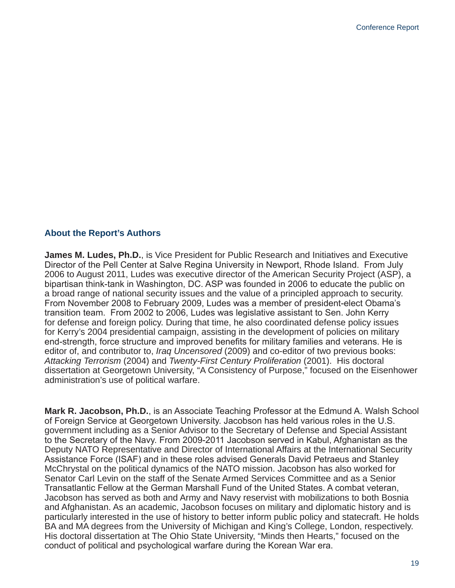#### **About the Report's Authors**

**James M. Ludes, Ph.D.**, is Vice President for Public Research and Initiatives and Executive Director of the Pell Center at Salve Regina University in Newport, Rhode Island. From July 2006 to August 2011, Ludes was executive director of the American Security Project (ASP), a bipartisan think-tank in Washington, DC. ASP was founded in 2006 to educate the public on a broad range of national security issues and the value of a principled approach to security. From November 2008 to February 2009, Ludes was a member of president-elect Obama's transition team. From 2002 to 2006, Ludes was legislative assistant to Sen. John Kerry for defense and foreign policy. During that time, he also coordinated defense policy issues for Kerry's 2004 presidential campaign, assisting in the development of policies on military end-strength, force structure and improved benefits for military families and veterans. He is editor of, and contributor to, *Iraq Uncensored* (2009) and co-editor of two previous books: *Attacking Terrorism* (2004) and *Twenty-First Century Proliferation* (2001). His doctoral dissertation at Georgetown University, "A Consistency of Purpose," focused on the Eisenhower administration's use of political warfare.

**Mark R. Jacobson, Ph.D.**, is an Associate Teaching Professor at the Edmund A. Walsh School of Foreign Service at Georgetown University. Jacobson has held various roles in the U.S. government including as a Senior Advisor to the Secretary of Defense and Special Assistant to the Secretary of the Navy. From 2009-2011 Jacobson served in Kabul, Afghanistan as the Deputy NATO Representative and Director of International Affairs at the International Security Assistance Force (ISAF) and in these roles advised Generals David Petraeus and Stanley McChrystal on the political dynamics of the NATO mission. Jacobson has also worked for Senator Carl Levin on the staff of the Senate Armed Services Committee and as a Senior Transatlantic Fellow at the German Marshall Fund of the United States. A combat veteran, Jacobson has served as both and Army and Navy reservist with mobilizations to both Bosnia and Afghanistan. As an academic, Jacobson focuses on military and diplomatic history and is particularly interested in the use of history to better inform public policy and statecraft. He holds BA and MA degrees from the University of Michigan and King's College, London, respectively. His doctoral dissertation at The Ohio State University, "Minds then Hearts," focused on the conduct of political and psychological warfare during the Korean War era.